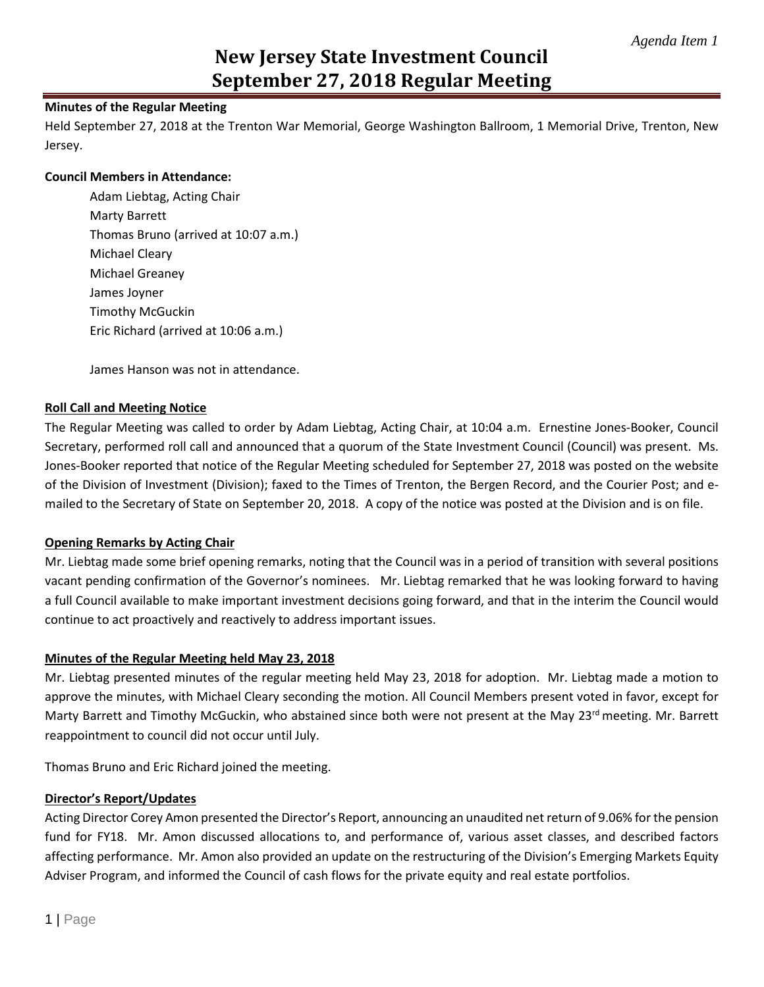# **New Jersey State Investment Council September 27, 2018 Regular Meeting**

# **Minutes of the Regular Meeting**

Held September 27, 2018 at the Trenton War Memorial, George Washington Ballroom, 1 Memorial Drive, Trenton, New Jersey.

### **Council Members in Attendance:**

Adam Liebtag, Acting Chair Marty Barrett Thomas Bruno (arrived at 10:07 a.m.) Michael Cleary Michael Greaney James Joyner Timothy McGuckin Eric Richard (arrived at 10:06 a.m.)

James Hanson was not in attendance.

# **Roll Call and Meeting Notice**

The Regular Meeting was called to order by Adam Liebtag, Acting Chair, at 10:04 a.m. Ernestine Jones-Booker, Council Secretary, performed roll call and announced that a quorum of the State Investment Council (Council) was present. Ms. Jones-Booker reported that notice of the Regular Meeting scheduled for September 27, 2018 was posted on the website of the Division of Investment (Division); faxed to the Times of Trenton, the Bergen Record, and the Courier Post; and emailed to the Secretary of State on September 20, 2018. A copy of the notice was posted at the Division and is on file.

### **Opening Remarks by Acting Chair**

Mr. Liebtag made some brief opening remarks, noting that the Council was in a period of transition with several positions vacant pending confirmation of the Governor's nominees. Mr. Liebtag remarked that he was looking forward to having a full Council available to make important investment decisions going forward, and that in the interim the Council would continue to act proactively and reactively to address important issues.

### **Minutes of the Regular Meeting held May 23, 2018**

Mr. Liebtag presented minutes of the regular meeting held May 23, 2018 for adoption. Mr. Liebtag made a motion to approve the minutes, with Michael Cleary seconding the motion. All Council Members present voted in favor, except for Marty Barrett and Timothy McGuckin, who abstained since both were not present at the May 23rd meeting. Mr. Barrett reappointment to council did not occur until July.

Thomas Bruno and Eric Richard joined the meeting.

### **Director's Report/Updates**

Acting Director Corey Amon presented the Director's Report, announcing an unaudited net return of 9.06% for the pension fund for FY18. Mr. Amon discussed allocations to, and performance of, various asset classes, and described factors affecting performance. Mr. Amon also provided an update on the restructuring of the Division's Emerging Markets Equity Adviser Program, and informed the Council of cash flows for the private equity and real estate portfolios.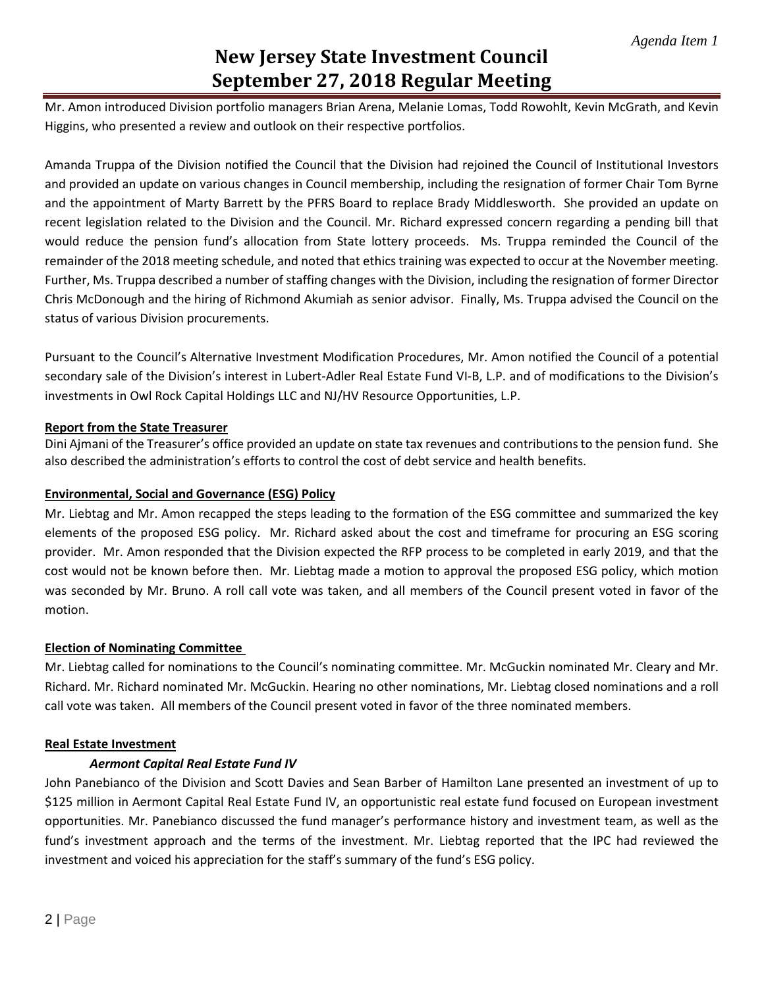# **New Jersey State Investment Council September 27, 2018 Regular Meeting**

Mr. Amon introduced Division portfolio managers Brian Arena, Melanie Lomas, Todd Rowohlt, Kevin McGrath, and Kevin Higgins, who presented a review and outlook on their respective portfolios.

Amanda Truppa of the Division notified the Council that the Division had rejoined the Council of Institutional Investors and provided an update on various changes in Council membership, including the resignation of former Chair Tom Byrne and the appointment of Marty Barrett by the PFRS Board to replace Brady Middlesworth. She provided an update on recent legislation related to the Division and the Council. Mr. Richard expressed concern regarding a pending bill that would reduce the pension fund's allocation from State lottery proceeds. Ms. Truppa reminded the Council of the remainder of the 2018 meeting schedule, and noted that ethics training was expected to occur at the November meeting. Further, Ms. Truppa described a number of staffing changes with the Division, including the resignation of former Director Chris McDonough and the hiring of Richmond Akumiah as senior advisor. Finally, Ms. Truppa advised the Council on the status of various Division procurements.

Pursuant to the Council's Alternative Investment Modification Procedures, Mr. Amon notified the Council of a potential secondary sale of the Division's interest in Lubert-Adler Real Estate Fund VI-B, L.P. and of modifications to the Division's investments in Owl Rock Capital Holdings LLC and NJ/HV Resource Opportunities, L.P.

### **Report from the State Treasurer**

Dini Ajmani of the Treasurer's office provided an update on state tax revenues and contributions to the pension fund. She also described the administration's efforts to control the cost of debt service and health benefits.

# **Environmental, Social and Governance (ESG) Policy**

Mr. Liebtag and Mr. Amon recapped the steps leading to the formation of the ESG committee and summarized the key elements of the proposed ESG policy. Mr. Richard asked about the cost and timeframe for procuring an ESG scoring provider. Mr. Amon responded that the Division expected the RFP process to be completed in early 2019, and that the cost would not be known before then. Mr. Liebtag made a motion to approval the proposed ESG policy, which motion was seconded by Mr. Bruno. A roll call vote was taken, and all members of the Council present voted in favor of the motion.

### **Election of Nominating Committee**

Mr. Liebtag called for nominations to the Council's nominating committee. Mr. McGuckin nominated Mr. Cleary and Mr. Richard. Mr. Richard nominated Mr. McGuckin. Hearing no other nominations, Mr. Liebtag closed nominations and a roll call vote was taken. All members of the Council present voted in favor of the three nominated members.

### **Real Estate Investment**

### *Aermont Capital Real Estate Fund IV*

John Panebianco of the Division and Scott Davies and Sean Barber of Hamilton Lane presented an investment of up to \$125 million in Aermont Capital Real Estate Fund IV, an opportunistic real estate fund focused on European investment opportunities. Mr. Panebianco discussed the fund manager's performance history and investment team, as well as the fund's investment approach and the terms of the investment. Mr. Liebtag reported that the IPC had reviewed the investment and voiced his appreciation for the staff's summary of the fund's ESG policy.